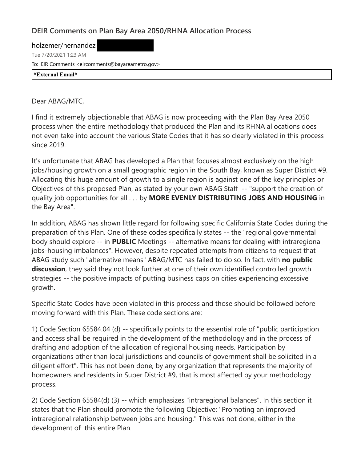## **DEIR Comments on Plan Bay Area 2050/RHNA Allocation Process**

holzemer/hernandez Tue 7/20/2021 1:23 AM To: EIR Comments <eircomments@bayareametro.gov> **\*External Email\***

Dear ABAG/MTC,

I find it extremely objectionable that ABAG is now proceeding with the Plan Bay Area 2050 process when the entire methodology that produced the Plan and its RHNA allocations does not even take into account the various State Codes that it has so clearly violated in this process since 2019.

It's unfortunate that ABAG has developed a Plan that focuses almost exclusively on the high jobs/housing growth on a small geographic region in the South Bay, known as Super District #9. Allocating this huge amount of growth to a single region is against one of the key principles or Objectives of this proposed Plan, as stated by your own ABAG Staff -- "support the creation of quality job opportunities for all . . . by **MORE EVENLY DISTRIBUTING JOBS AND HOUSING** in the Bay Area".

In addition, ABAG has shown little regard for following specific California State Codes during the preparation of this Plan. One of these codes specifically states -- the "regional governmental body should explore -- in **PUBLIC** Meetings -- alternative means for dealing with intraregional jobs-housing imbalances". However, despite repeated attempts from citizens to request that ABAG study such "alternative means" ABAG/MTC has failed to do so. In fact, with **no public discussion**, they said they not look further at one of their own identified controlled growth strategies -- the positive impacts of putting business caps on cities experiencing excessive growth.

Specific State Codes have been violated in this process and those should be followed before moving forward with this Plan. These code sections are:

1) Code Section 65584.04 (d) -- specifically points to the essential role of "public participation and access shall be required in the development of the methodology and in the process of drafting and adoption of the allocation of regional housing needs. Participation by organizations other than local jurisdictions and councils of government shall be solicited in a diligent effort". This has not been done, by any organization that represents the majority of homeowners and residents in Super District #9, that is most affected by your methodology process.

2) Code Section 65584(d) (3) -- which emphasizes "intraregional balances". In this section it states that the Plan should promote the following Objective: "Promoting an improved intraregional relationship between jobs and housing." This was not done, either in the development of this entire Plan.